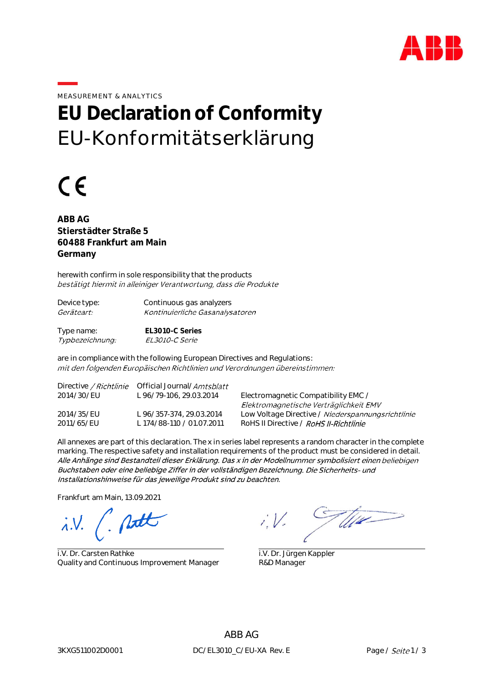

MEASUREMENT & ANALYTICS

## **EU Declaration of Conformity** EU-Konformitätserklärung

# $\epsilon$

**ABB AG Stierstädter Straße 5 60488 Frankfurt am Main Germany**

herewith confirm in sole responsibility that the products bestätigt hiermit in alleiniger Verantwortung, dass die Produkte

| Device type:      | Continuous gas analyzers         |
|-------------------|----------------------------------|
| <i>Geräteart:</i> | Kontinuierliche Gasanalysatorer. |
|                   |                                  |

Type name: **EL3010-C Series** EL3010-C Serie Typbezeichnung:

are in compliance with the following European Directives and Regulations: mit den folgenden Europäischen Richtlinien und Verordnungen übereinstimmen:

|            | Directive / Richtlinie Official Journal/Amtsblatt |                                                   |
|------------|---------------------------------------------------|---------------------------------------------------|
| 2014/30/EU | L 96/79-106, 29.03.2014                           | Electromagnetic Compatibility EMC /               |
|            |                                                   | Elektromagnetische Verträglichkeit EMV            |
| 2014/35/EU | L 96/357-374, 29.03.2014                          | Low Voltage Directive / Niederspannungsrichtlinie |
| 2011/65/EU | L 174/88-110 / 01.07.2011                         | RoHS II Directive / RoHS II-Richtlinie            |

All annexes are part of this declaration. The x in series label represents a random character in the complete marking. The respective safety and installation requirements of the product must be considered in detail. Alle Anhänge sind Bestandteil dieser Erklärung. Das x in der Modellnummer symbolisiert einen beliebigen Buchstaben oder eine beliebige Ziffer in der vollständigen Bezeichnung. Die Sicherheits- und Installationshinweise für das jeweilige Produkt sind zu beachten.

Frankfurt am Main, 13.09.2021

 $\lambda$ .V.

i.V. Dr. Carsten Rathke Quality and Continuous Improvement Manager

T live

 i.V. Dr. Jürgen Kappler R&D Manager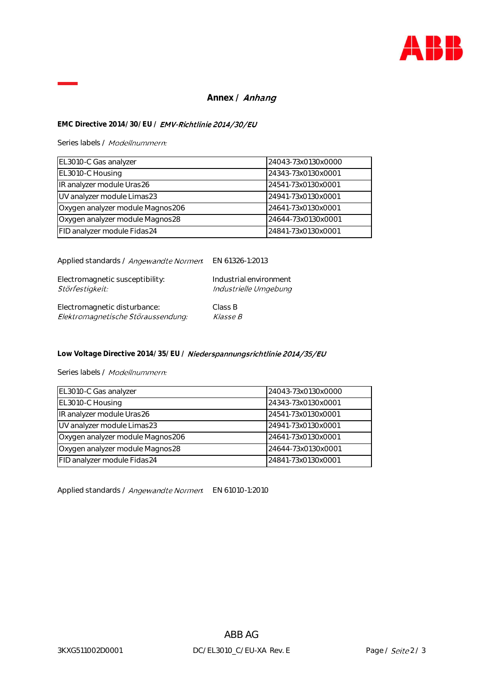

### Annex / **Anhang**

### **EMC Directive 2014/30/EU /**

Series labels / Modellnummern:

| EL3010-C Gas analyzer            | 24043-73x0130x0000 |
|----------------------------------|--------------------|
| EL3010-C Housing                 | 24343-73x0130x0001 |
| IR analyzer module Uras26        | 24541-73x0130x0001 |
| UV analyzer module Limas23       | 24941-73x0130x0001 |
| Oxygen analyzer module Magnos206 | 24641-73x0130x0001 |
| Oxygen analyzer module Magnos28  | 24644-73x0130x0001 |
| FID analyzer module Fidas24      | 24841-73x0130x0001 |

Applied standards / Angewandte Normen. EN 61326-1:2013

| Electromagnetic susceptibility:    | Industrial environment |
|------------------------------------|------------------------|
| Störfestigkeit:                    | Industrielle Umgebung  |
| Electromagnetic disturbance:       | Class B                |
| Elektromagnetische Störaussendung: | <i><b>Klasse B</b></i> |

Low Voltage Directive 2014/35/EU / **Niederspannungsrichtlinie 2014/35/EU** 

Series labels / Modellnummern:

| EL3010-C Gas analyzer            | 24043-73x0130x0000 |
|----------------------------------|--------------------|
| EL3010-C Housing                 | 24343-73x0130x0001 |
| IR analyzer module Uras26        | 24541-73x0130x0001 |
| UV analyzer module Limas23       | 24941-73x0130x0001 |
| Oxygen analyzer module Magnos206 | 24641-73x0130x0001 |
| Oxygen analyzer module Magnos28  | 24644-73x0130x0001 |
| FID analyzer module Fidas24      | 24841-73x0130x0001 |

Applied standards / Angewandte Normen. EN 61010-1:2010